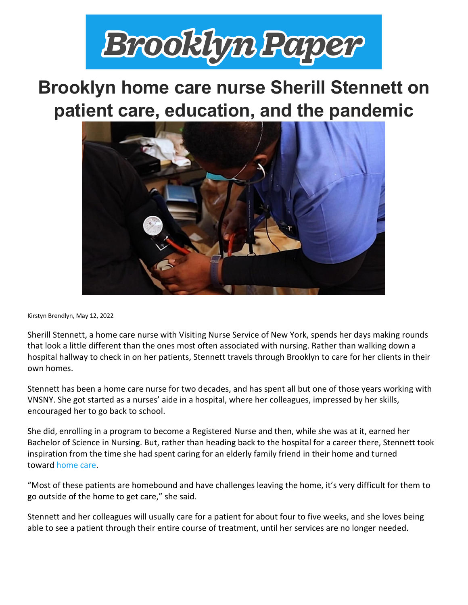

## **Brooklyn home care nurse Sherill Stennett on patient care, education, and the pandemic**



Kirstyn Brendlyn, May 12, 2022

Sherill Stennett, a home care nurse with Visiting Nurse Service of New York, spends her days making rounds that look a little different than the ones most often associated with nursing. Rather than walking down a hospital hallway to check in on her patients, Stennett travels through Brooklyn to care for her clients in their own homes.

Stennett has been a home care nurse for two decades, and has spent all but one of those years working with VNSNY. She got started as a nurses' aide in a hospital, where her colleagues, impressed by her skills, encouraged her to go back to school.

She did, enrolling in a program to become a Registered Nurse and then, while she was at it, earned her Bachelor of Science in Nursing. But, rather than heading back to the hospital for a career there, Stennett took inspiration from the time she had spent caring for an elderly family friend in their home and turned toward [home care.](https://amsterdamnews.com/news/2022/05/12/home-care-nurses-for-the-win-with-vnsnys-fatima-sanchez/)

"Most of these patients are homebound and have challenges leaving the home, it's very difficult for them to go outside of the home to get care," she said.

Stennett and her colleagues will usually care for a patient for about four to five weeks, and she loves being able to see a patient through their entire course of treatment, until her services are no longer needed.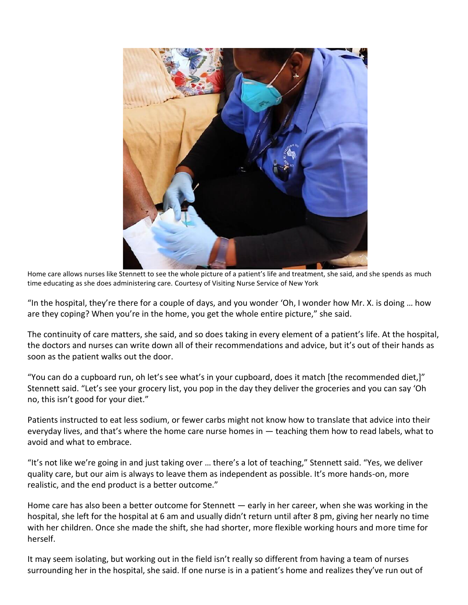

Home care allows nurses like Stennett to see the whole picture of a patient's life and treatment, she said, and she spends as much time educating as she does administering care. Courtesy of Visiting Nurse Service of New York

"In the hospital, they're there for a couple of days, and you wonder 'Oh, I wonder how Mr. X. is doing … how are they coping? When you're in the home, you get the whole entire picture," she said.

The continuity of care matters, she said, and so does taking in every element of a patient's life. At the hospital, the doctors and nurses can write down all of their recommendations and advice, but it's out of their hands as soon as the patient walks out the door.

"You can do a cupboard run, oh let's see what's in your cupboard, does it match [the recommended diet,]" Stennett said. "Let's see your grocery list, you pop in the day they deliver the groceries and you can say 'Oh no, this isn't good for your diet."

Patients instructed to eat less sodium, or fewer carbs might not know how to translate that advice into their everyday lives, and that's where the home care nurse homes in — teaching them how to read labels, what to avoid and what to embrace.

"It's not like we're going in and just taking over … there's a lot of teaching," Stennett said. "Yes, we deliver quality care, but our aim is always to leave them as independent as possible. It's more hands-on, more realistic, and the end product is a better outcome."

Home care has also been a better outcome for Stennett — early in her career, when she was working in the hospital, she left for the hospital at 6 am and usually didn't return until after 8 pm, giving her nearly no time with her children. Once she made the shift, she had shorter, more flexible working hours and more time for herself.

It may seem isolating, but working out in the field isn't really so different from having a team of nurses surrounding her in the hospital, she said. If one nurse is in a patient's home and realizes they've run out of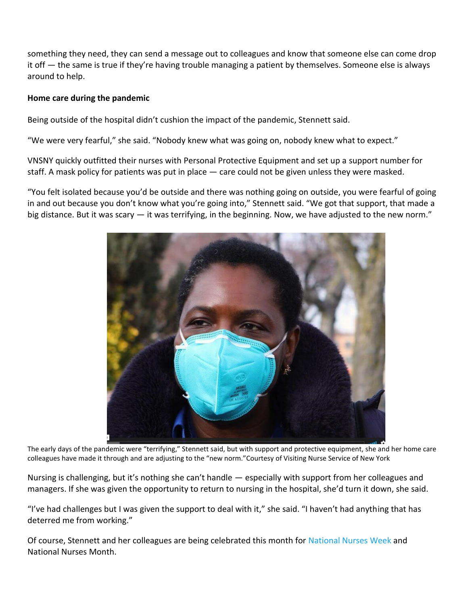something they need, they can send a message out to colleagues and know that someone else can come drop it off — the same is true if they're having trouble managing a patient by themselves. Someone else is always around to help.

## **Home care during the pandemic**

Being outside of the hospital didn't cushion the impact of the pandemic, Stennett said.

"We were very fearful," she said. "Nobody knew what was going on, nobody knew what to expect."

VNSNY quickly outfitted their nurses with Personal Protective Equipment and set up a support number for staff. A mask policy for patients was put in place — care could not be given unless they were masked.

"You felt isolated because you'd be outside and there was nothing going on outside, you were fearful of going in and out because you don't know what you're going into," Stennett said. "We got that support, that made a big distance. But it was scary — it was terrifying, in the beginning. Now, we have adjusted to the new norm."



The early days of the pandemic were "terrifying," Stennett said, but with support and protective equipment, she and her home care colleagues have made it through and are adjusting to the "new norm."Courtesy of Visiting Nurse Service of New York

Nursing is challenging, but it's nothing she can't handle — especially with support from her colleagues and managers. If she was given the opportunity to return to nursing in the hospital, she'd turn it down, she said.

"I've had challenges but I was given the support to deal with it," she said. "I haven't had anything that has deterred me from working."

Of course, Stennett and her colleagues are being celebrated this month for [National Nurses Week](https://www.brooklynpaper.com/after-covid-brooklyn-nurses-misconceptions/) and National Nurses Month.